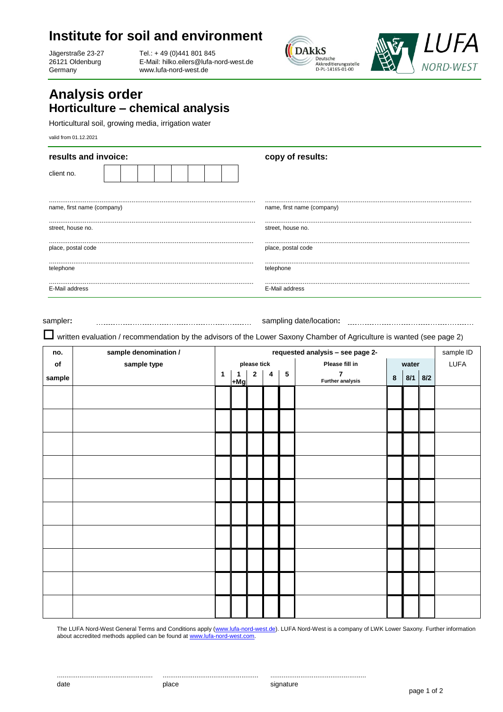## **Institute for soil and environment**

Jägerstraße 23-27 26121 Oldenburg Germany

Tel.: + 49 (0)441 801 845 E-Mail: hilko.eilers[@lufa-nord-west.de](mailto:xxx@lufa-nord-west.de) www.lufa-nord-west.de





## **Analysis order Horticulture – chemical analysis**

Horticultural soil, growing media, irrigation water

valid from 01.12.2021

| results and invoice:       | copy of results:           |  |  |  |
|----------------------------|----------------------------|--|--|--|
| client no.                 |                            |  |  |  |
|                            |                            |  |  |  |
| name, first name (company) | name, first name (company) |  |  |  |
|                            |                            |  |  |  |
| street, house no.          | street, house no.          |  |  |  |
|                            |                            |  |  |  |
| place, postal code         | place, postal code         |  |  |  |
|                            |                            |  |  |  |
| telephone                  | telephone                  |  |  |  |
|                            |                            |  |  |  |
| E-Mail address             | E-Mail address             |  |  |  |

sampler**:** sampling date/location**:**

written evaluation / recommendation by the advisors of the Lower Saxony Chamber of Agriculture is wanted (see page 2)

| no.           | sample denomination / | requested analysis - see page 2- |            |                |                         |           |                                           | sample ID |           |  |      |
|---------------|-----------------------|----------------------------------|------------|----------------|-------------------------|-----------|-------------------------------------------|-----------|-----------|--|------|
| $\mathsf{of}$ | sample type           | please tick                      |            |                |                         |           | Please fill in                            | water     |           |  | LUFA |
| sample        |                       | $\mathbf{1}$                     | 1<br>$+Mg$ | $\overline{2}$ | $\overline{\mathbf{4}}$ | ${\bf 5}$ | $\overline{7}$<br><b>Further analysis</b> | 8         | $8/1$ 8/2 |  |      |
|               |                       |                                  |            |                |                         |           |                                           |           |           |  |      |
|               |                       |                                  |            |                |                         |           |                                           |           |           |  |      |
|               |                       |                                  |            |                |                         |           |                                           |           |           |  |      |
|               |                       |                                  |            |                |                         |           |                                           |           |           |  |      |
|               |                       |                                  |            |                |                         |           |                                           |           |           |  |      |
|               |                       |                                  |            |                |                         |           |                                           |           |           |  |      |
|               |                       |                                  |            |                |                         |           |                                           |           |           |  |      |
|               |                       |                                  |            |                |                         |           |                                           |           |           |  |      |
|               |                       |                                  |            |                |                         |           |                                           |           |           |  |      |
|               |                       |                                  |            |                |                         |           |                                           |           |           |  |      |

The LUFA Nord-West General Terms and Conditions apply [\(www.lufa-nord-west.de\)](www.lufa-nord-west.de). LUFA Nord-West is a company of LWK Lower Saxony. Further information about accredited methods applied can be found a[t www.lufa-nord-west.com.](www.lufa-nord-west.com)

................................................... ................................................... ...................................................